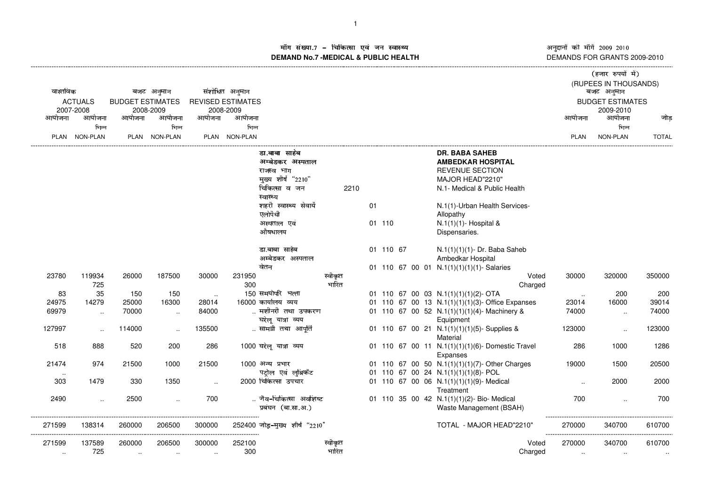अनुदानों की माँगें 2009–2010<br>DEMANDS FOR GRANTS 2009-2010

## ाँग संख्या.7 – चिकित्सा एवं जन स्वास्थ्य स्थान कर संस्था पर संस्था आर्यो अ ---------------------------------------------------------------------------------------------------------------------------------------------------------------------------------------------------------------------------------------------------------------------------- (------------------- )\*+,-./+010132- माँग सख्या.7 – चिकित्सा एव जन स्वास्थ्य<br>DEMAND No.7 -MEDICAL & PUBLIC HEALTH

| वास्तविक |                             |                         | बजट अनुमान    |           | संशोधित अनुमान                        |                                |                  |      |           |  |                                                  |        | (हजार रुपयां मं)<br>(RUPEES IN THOUSANDS)<br>बजट अनुमान |              |
|----------|-----------------------------|-------------------------|---------------|-----------|---------------------------------------|--------------------------------|------------------|------|-----------|--|--------------------------------------------------|--------|---------------------------------------------------------|--------------|
|          | <b>ACTUALS</b><br>2007-2008 | <b>BUDGET ESTIMATES</b> | 2008-2009     |           | <b>REVISED ESTIMATES</b><br>2008-2009 |                                |                  |      |           |  |                                                  |        | <b>BUDGET ESTIMATES</b><br>2009-2010                    |              |
| आयोजना   | आयोजना                      | आयोजना                  | आयोजना        | आयोजना    | आयोजना                                |                                |                  |      |           |  |                                                  | आयोजना | आयोजना                                                  | जोड          |
|          | भिन्न                       |                         | भिन्न         |           | भिन्न                                 |                                |                  |      |           |  |                                                  |        | भिन्न                                                   |              |
|          | PLAN NON-PLAN               |                         | PLAN NON-PLAN |           | PLAN NON-PLAN                         |                                |                  |      |           |  |                                                  | PLAN   | NON-PLAN                                                | <b>TOTAL</b> |
|          |                             |                         |               |           |                                       | डा.बाबा साहंब                  |                  |      |           |  | <b>DR. BABA SAHEB</b>                            |        |                                                         |              |
|          |                             |                         |               |           |                                       | अम्बेडकर अस्पताल               |                  |      |           |  | <b>AMBEDKAR HOSPITAL</b>                         |        |                                                         |              |
|          |                             |                         |               |           |                                       | राजस्व भाग                     |                  |      |           |  | <b>REVENUE SECTION</b>                           |        |                                                         |              |
|          |                             |                         |               |           |                                       | मुख्य शीर्ष "2210"             |                  |      |           |  | MAJOR HEAD"2210"                                 |        |                                                         |              |
|          |                             |                         |               |           |                                       | चिकित्सा व जन                  |                  | 2210 |           |  | N.1- Medical & Public Health                     |        |                                                         |              |
|          |                             |                         |               |           |                                       | स्वास्थ्य                      |                  |      |           |  |                                                  |        |                                                         |              |
|          |                             |                         |               |           |                                       | शहरी स्वास्थ्य सेवायें         |                  | 01   |           |  | N.1(1)-Urban Health Services-                    |        |                                                         |              |
|          |                             |                         |               |           |                                       | एलोपैथी                        |                  |      |           |  | Allopathy                                        |        |                                                         |              |
|          |                             |                         |               |           |                                       | अस्पताल एवं                    |                  |      | 01 110    |  | N.1(1)(1)- Hospital &                            |        |                                                         |              |
|          |                             |                         |               |           |                                       | औषधालय                         |                  |      |           |  | Dispensaries.                                    |        |                                                         |              |
|          |                             |                         |               |           |                                       | डा.बाबा साहेब                  |                  |      | 01 110 67 |  | N.1(1)(1)(1)- Dr. Baba Saheb                     |        |                                                         |              |
|          |                             |                         |               |           |                                       | अम्बेडकर अस्पताल               |                  |      |           |  | Ambedkar Hospital                                |        |                                                         |              |
|          |                             |                         |               |           |                                       | वेतन                           |                  |      |           |  | 01 110 67 00 01 N.1(1)(1)(1)(1)- Salaries        |        |                                                         |              |
| 23780    | 119934                      | 26000                   | 187500        | 30000     | 231950                                |                                | स्वीकृत          |      |           |  | Voted                                            | 30000  | 320000                                                  | 350000       |
|          | 725                         |                         |               |           | 300                                   |                                | भारित            |      |           |  | Charged                                          |        |                                                         |              |
| 83       | 35                          | 150                     | 150           | $\sim$    |                                       | 150 समयोपरि भत्ता              |                  |      |           |  | 01 110 67 00 03 N.1(1)(1)(1)(2)- OTA             | $\sim$ | 200                                                     | 200          |
| 24975    | 14279                       | 25000                   | 16300         | 28014     |                                       | 16000 कार्यालय व्यय            |                  |      |           |  | 01 110 67 00 13 N.1(1)(1)(1)(3)- Office Expanses | 23014  | 16000                                                   | 39014        |
| 69979    | $\sim$                      | 70000                   | $\ddotsc$     | 84000     |                                       | मशीनरी तथा उपकरण               |                  |      |           |  | 01 110 67 00 52 N.1(1)(1)(1)(4)-Machinery &      | 74000  | $\ddotsc$                                               | 74000        |
|          |                             |                         |               |           |                                       | घरेलू यात्रा व्यय              |                  |      |           |  | Equipment                                        |        |                                                         |              |
| 127997   |                             | 114000                  | $\ddotsc$     | 135500    |                                       | सामग्री तथा आपूर्ति            |                  |      |           |  | 01 110 67 00 21 N.1(1)(1)(1)(5)-Supplies &       | 123000 | $\ddotsc$                                               | 123000       |
|          |                             |                         |               |           |                                       |                                |                  |      |           |  | Material                                         |        |                                                         |              |
| 518      | 888                         | 520                     | 200           | 286       |                                       | 1000 घरेलू यात्रा व्यय         |                  |      |           |  | 01 110 67 00 11 N.1(1)(1)(1)(6)- Domestic Travel | 286    | 1000                                                    | 1286         |
|          |                             |                         |               |           |                                       |                                |                  |      |           |  | Expanses                                         |        |                                                         |              |
| 21474    | 974                         | 21500                   | 1000          | 21500     |                                       | 1000 अन्य प्रभार               |                  |      |           |  | 01 110 67 00 50 N.1(1)(1)(1)(7)-Other Charges    | 19000  | 1500                                                    | 20500        |
| $\cdots$ |                             |                         |               |           |                                       | पट्रोल एवं लुब्रिकेंट          |                  |      |           |  | 01 110 67 00 24 N.1(1)(1)(1)(8)- POL             |        |                                                         |              |
| 303      | 1479                        | 330                     | 1350          | $\ddotsc$ |                                       | 2000 चिकित्सा उपचार            |                  |      |           |  | 01 110 67 00 06 N.1(1)(1)(1)(9)- Medical         |        | 2000                                                    | 2000         |
|          |                             |                         |               |           |                                       |                                |                  |      |           |  | Treatment                                        |        |                                                         |              |
| 2490     | $\sim$                      | 2500                    | $\sim$        | 700       |                                       | जैव-चिकित्सा अवशिष्ट           |                  |      |           |  | 01 110 35 00 42 N.1(1)(1)(2)- Bio- Medical       | 700    | $\ddotsc$                                               | 700          |
|          |                             |                         |               |           |                                       | प्रबंघन (बा.सा.अ.)             |                  |      |           |  | Waste Management (BSAH)                          |        |                                                         |              |
| 271599   | 138314                      | 260000                  | 206500        | 300000    |                                       | 252400 जोड़-मुख्य शीर्ष "2210" |                  |      |           |  | TOTAL - MAJOR HEAD"2210"                         | 270000 | 340700                                                  | 610700       |
| 271599   | 137589                      | 260000                  | 206500        |           |                                       |                                |                  |      |           |  |                                                  | 270000 | 340700                                                  |              |
|          | 725                         |                         |               | 300000    | 252100<br>300                         |                                | स्वीकृत<br>भारित |      |           |  | Voted                                            |        |                                                         | 610700       |
| $\ldots$ |                             | $\sim$                  | $\sim$        | $\sim$    |                                       |                                |                  |      |           |  | Charged                                          | $\sim$ | $\sim$                                                  | $\cdot\cdot$ |